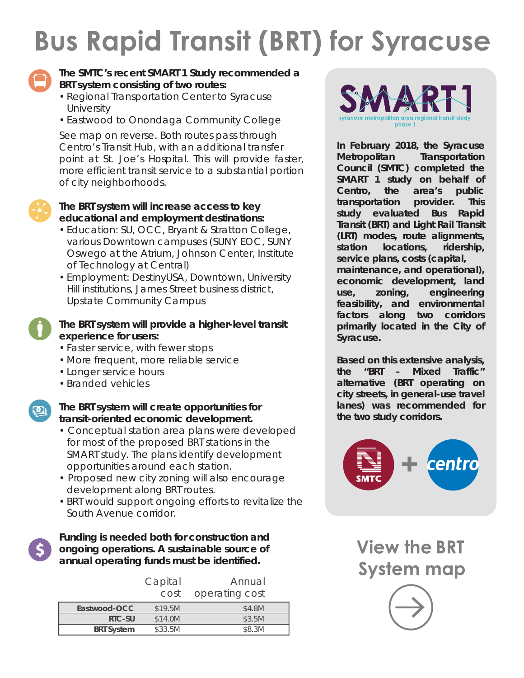# **Bus Rapid Transit (BRT) for Syracuse**



## **The SMTC's recent SMART 1 Study recommended a BRT system consisting of two routes:**

- Regional Transportation Center to Syracuse **University**
- Eastwood to Onondaga Community College

See map on reverse. Both routes pass through Centro's Transit Hub, with an additional transfer point at St. Joe's Hospital. This will provide faster, more efficient transit service to a substantial portion of city neighborhoods.



#### **The BRT system will increase access to key educational and employment destinations:**

- Education: SU, OCC, Bryant & Stratton College, various Downtown campuses (SUNY EOC, SUNY Oswego at the Atrium, Johnson Center, Institute of Technology at Central)
- Employment: DestinyUSA, Downtown, University Hill institutions, James Street business district, Upstate Community Campus

# **The BRT system will provide a higher-level transit experience for users:**

- Faster service, with fewer stops
- More frequent, more reliable service
- Longer service hours
- Branded vehicles



## **The BRT system will create opportunities for transit-oriented economic development.**

- Conceptual station area plans were developed for most of the proposed BRT stations in the SMART study. The plans identify development opportunities around each station.
- Proposed new city zoning will also encourage development along BRT routes.
- BRT would support ongoing efforts to revitalize the South Avenue corridor.

**Funding is needed both for construction and ongoing operations. A sustainable source of annual operating funds must be identified.**

|                   | Capital | Annual         |  |
|-------------------|---------|----------------|--|
|                   | cost    | operating cost |  |
| Eastwood-OCC      | \$19.5M | \$4.8M         |  |
| RTC-SU            | \$14.0M | \$3.5M         |  |
| <b>BRT System</b> | \$33.5M | \$8.3M         |  |



**In February 2018, the Syracuse Metropolitan Transportation Council (SMTC) completed the SMART 1 study on behalf of Centro, the area's public transportation provider. This study evaluated Bus Rapid Transit (BRT) and Light Rail Transit (LRT) modes, route alignments, station locations, ridership, service plans, costs (capital, maintenance, and operational), economic development, land use, zoning, engineering feasibility, and environmental factors along two corridors** 

**Based on this extensive analysis, the "BRT – Mixed Traffic" alternative (BRT operating on city streets, in general-use travel lanes) was recommended for the two study corridors.**

**primarily located in the City of** 

**Syracuse.** 



**View the BRT System map**